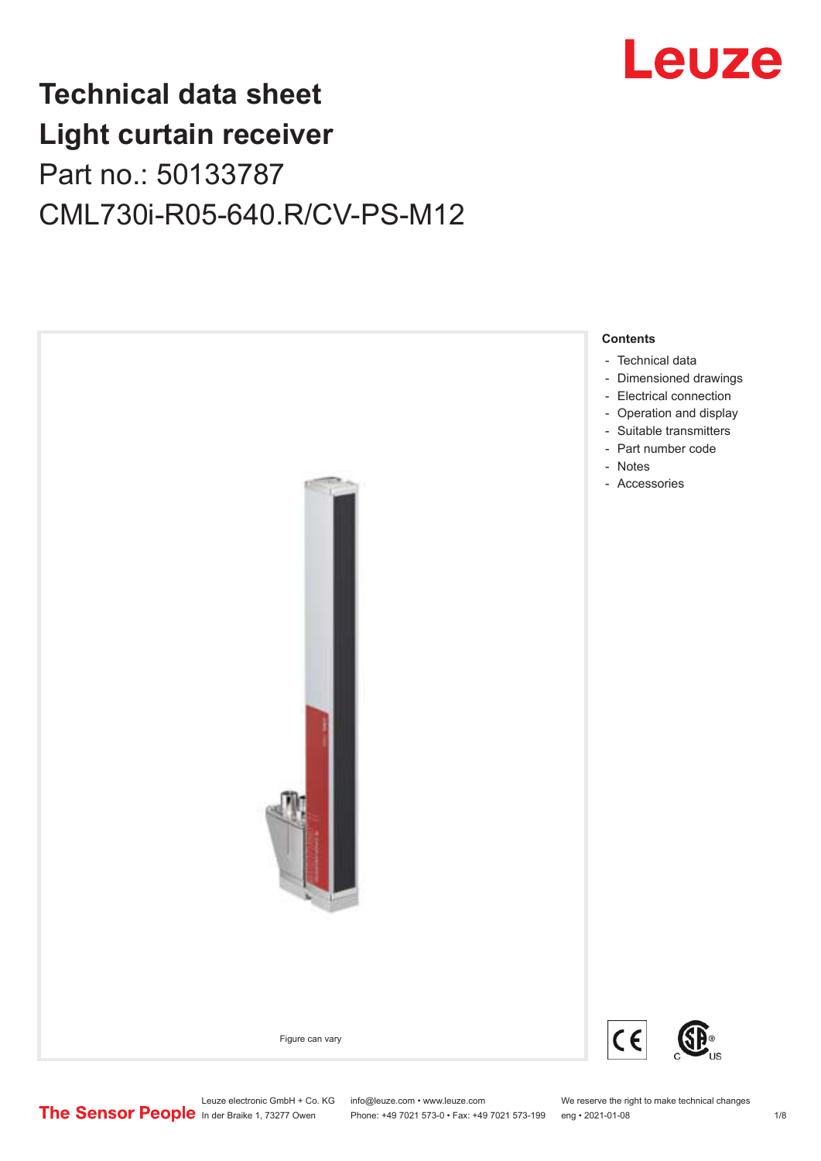

# **Technical data sheet Light curtain receiver** Part no.: 50133787 CML730i-R05-640.R/CV-PS-M12



Leuze electronic GmbH + Co. KG info@leuze.com • www.leuze.com We reserve the right to make technical changes<br>
The Sensor People in der Braike 1, 73277 Owen Phone: +49 7021 573-0 • Fax: +49 7021 573-199 eng • 2021-01-08

Phone: +49 7021 573-0 • Fax: +49 7021 573-199 eng • 2021-01-08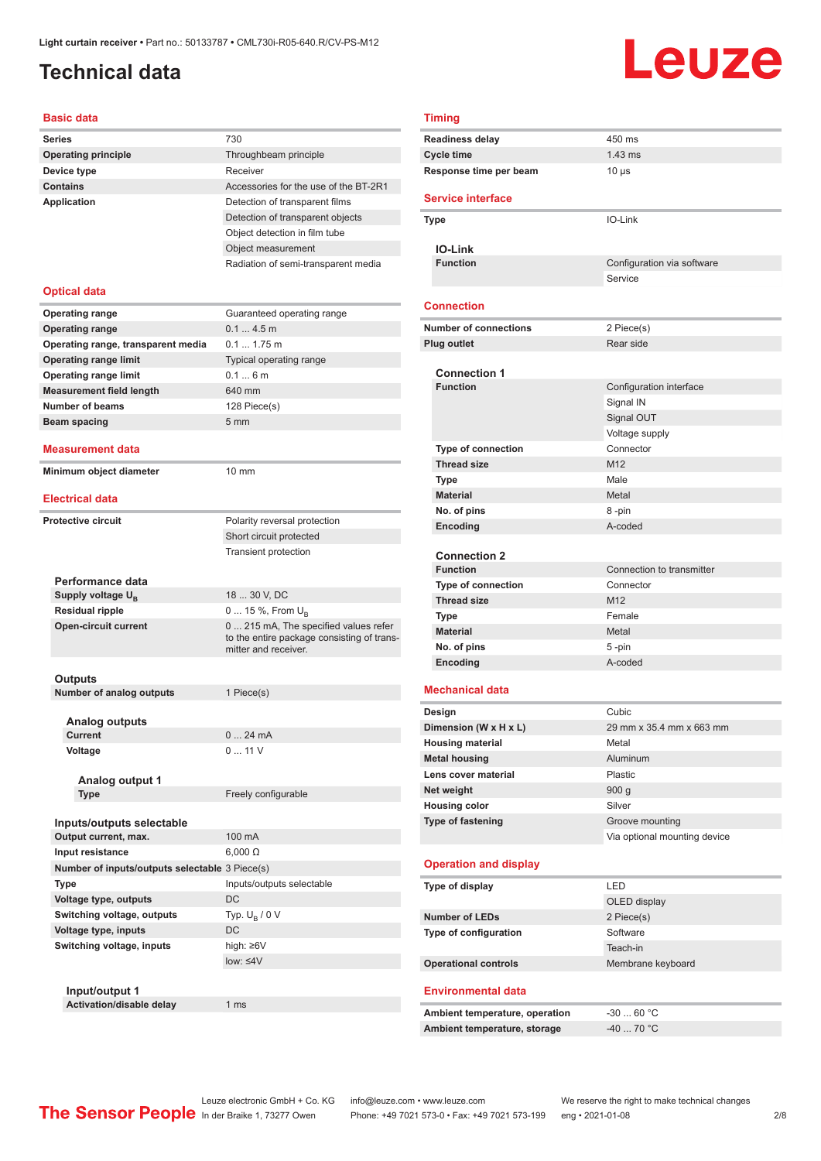### <span id="page-1-0"></span>**Technical data**

#### **Basic data**

| <b>Series</b>                                  | 730                                                                                |
|------------------------------------------------|------------------------------------------------------------------------------------|
| <b>Operating principle</b>                     | Throughbeam principle                                                              |
| Device type                                    | Receiver                                                                           |
| <b>Contains</b>                                | Accessories for the use of the BT-2R1                                              |
| <b>Application</b>                             | Detection of transparent films                                                     |
|                                                | Detection of transparent objects                                                   |
|                                                | Object detection in film tube                                                      |
|                                                | Object measurement                                                                 |
|                                                | Radiation of semi-transparent media                                                |
|                                                |                                                                                    |
| <b>Optical data</b>                            |                                                                                    |
| <b>Operating range</b>                         | Guaranteed operating range                                                         |
| <b>Operating range</b>                         | 0.14.5m                                                                            |
| Operating range, transparent media             | $0.1 1.75$ m                                                                       |
| <b>Operating range limit</b>                   | Typical operating range                                                            |
| <b>Operating range limit</b>                   | 0.16m                                                                              |
| <b>Measurement field length</b>                | 640 mm                                                                             |
| Number of beams                                | 128 Piece(s)                                                                       |
| <b>Beam spacing</b>                            | 5 <sub>mm</sub>                                                                    |
|                                                |                                                                                    |
| Measurement data                               |                                                                                    |
| Minimum object diameter                        | $10 \text{ mm}$                                                                    |
|                                                |                                                                                    |
| Electrical data                                |                                                                                    |
| Protective circuit                             | Polarity reversal protection                                                       |
|                                                | Short circuit protected                                                            |
|                                                | <b>Transient protection</b>                                                        |
|                                                |                                                                                    |
| Performance data                               |                                                                                    |
| Supply voltage U <sub>B</sub>                  | 18  30 V, DC                                                                       |
| <b>Residual ripple</b>                         | 0  15 %, From $U_{\rm B}$                                                          |
| <b>Open-circuit current</b>                    | 0 215 mA, The specified values refer<br>to the entire package consisting of trans- |
|                                                | mitter and receiver.                                                               |
|                                                |                                                                                    |
| Outputs<br><b>Number of analog outputs</b>     | 1 Piece(s)                                                                         |
|                                                |                                                                                    |
| <b>Analog outputs</b>                          |                                                                                    |
| Current                                        | 024mA                                                                              |
| Voltage                                        | 011V                                                                               |
|                                                |                                                                                    |
| Analog output 1                                |                                                                                    |
| Type                                           | Freely configurable                                                                |
|                                                |                                                                                    |
| Inputs/outputs selectable                      |                                                                                    |
| Output current, max.                           | 100 mA                                                                             |
| Input resistance                               | $6,000 \Omega$                                                                     |
| Number of inputs/outputs selectable 3 Piece(s) |                                                                                    |
| Type                                           | Inputs/outputs selectable                                                          |
| Voltage type, outputs                          | DC                                                                                 |
| Switching voltage, outputs                     | Typ. $U_R / 0 V$                                                                   |
| Voltage type, inputs                           | DC                                                                                 |
| Switching voltage, inputs                      | high: ≥6V                                                                          |
|                                                | $low: \leq 4V$                                                                     |
|                                                |                                                                                    |
| Input/output 1                                 |                                                                                    |
| Activation/disable delay                       | 1 ms                                                                               |

|  |  | ٧ |   |
|--|--|---|---|
|  |  |   |   |
|  |  |   |   |
|  |  |   | × |

| <b>Timing</b>                             |                                       |
|-------------------------------------------|---------------------------------------|
| <b>Readiness delay</b>                    | 450 ms                                |
| Cycle time                                | $1.43$ ms                             |
| Response time per beam                    | $10 \mu s$                            |
| <b>Service interface</b>                  |                                       |
| Type                                      | IO-Link                               |
|                                           |                                       |
| <b>IO-Link</b>                            |                                       |
| <b>Function</b>                           | Configuration via software<br>Service |
|                                           |                                       |
| <b>Connection</b>                         |                                       |
| <b>Number of connections</b>              | 2 Piece(s)                            |
| Plug outlet                               | Rear side                             |
|                                           |                                       |
| <b>Connection 1</b><br><b>Function</b>    |                                       |
|                                           | Configuration interface               |
|                                           | Signal IN<br>Signal OUT               |
|                                           | Voltage supply                        |
| <b>Type of connection</b>                 | Connector                             |
| <b>Thread size</b>                        | M <sub>12</sub>                       |
| <b>Type</b>                               | Male                                  |
| <b>Material</b>                           | Metal                                 |
| No. of pins                               | 8-pin                                 |
| Encoding                                  | A-coded                               |
|                                           |                                       |
| <b>Connection 2</b>                       |                                       |
| <b>Function</b>                           | Connection to transmitter             |
| Type of connection                        | Connector                             |
| <b>Thread size</b>                        | M <sub>12</sub>                       |
| <b>Type</b>                               | Female                                |
| <b>Material</b><br>No. of pins            | Metal<br>5-pin                        |
| Encoding                                  | A-coded                               |
|                                           |                                       |
| <b>Mechanical data</b>                    |                                       |
| Design                                    | Cubic                                 |
| Dimension (W x H x L)                     | 29 mm x 35.4 mm x 663 mm              |
| <b>Housing material</b>                   | Metal                                 |
| <b>Metal housing</b>                      | Aluminum                              |
| Lens cover material                       | Plastic                               |
| Net weight                                | 900q<br>Silver                        |
| <b>Housing color</b><br>Type of fastening | Groove mounting                       |
|                                           | Via optional mounting device          |
|                                           |                                       |
| <b>Operation and display</b>              |                                       |
| Type of display                           | LED                                   |
|                                           | OLED display                          |
| <b>Number of LEDs</b>                     | 2 Piece(s)                            |
| Type of configuration                     | Software                              |
|                                           | Teach-in                              |
| <b>Operational controls</b>               | Membrane keyboard                     |
| <b>Environmental data</b>                 |                                       |
| Ambient temperature, operation            | $-3060 °C$                            |
| Ambient temperature, storage              | -40  70 °C                            |
|                                           |                                       |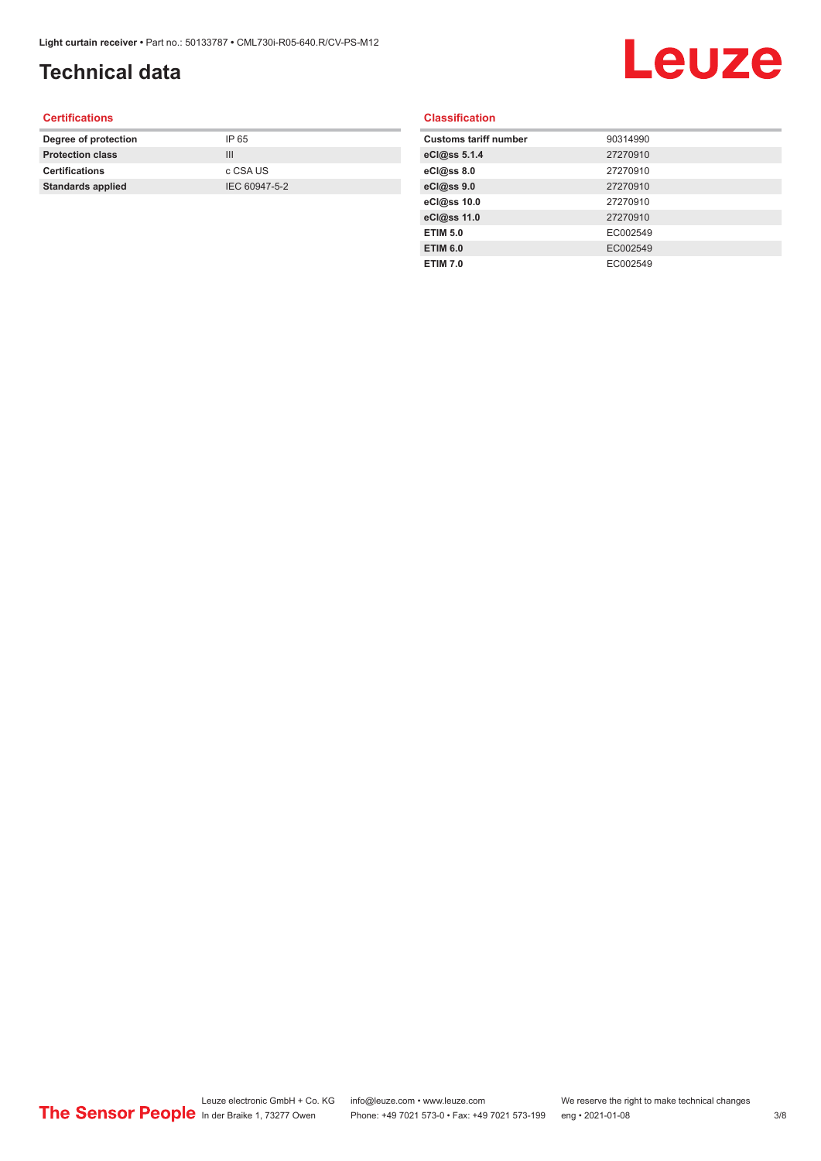# **Technical data**

# Leuze

#### **Certifications**

| Degree of protection     | IP 65         |
|--------------------------|---------------|
| <b>Protection class</b>  | Ш             |
| <b>Certifications</b>    | c CSA US      |
| <b>Standards applied</b> | IEC 60947-5-2 |
|                          |               |

#### **Classification**

| <b>Customs tariff number</b> | 90314990 |
|------------------------------|----------|
| eCl@ss 5.1.4                 | 27270910 |
| eCl@ss 8.0                   | 27270910 |
| eCl@ss 9.0                   | 27270910 |
| eCl@ss 10.0                  | 27270910 |
| eCl@ss 11.0                  | 27270910 |
| <b>ETIM 5.0</b>              | EC002549 |
| <b>ETIM 6.0</b>              | EC002549 |
| <b>ETIM 7.0</b>              | EC002549 |
|                              |          |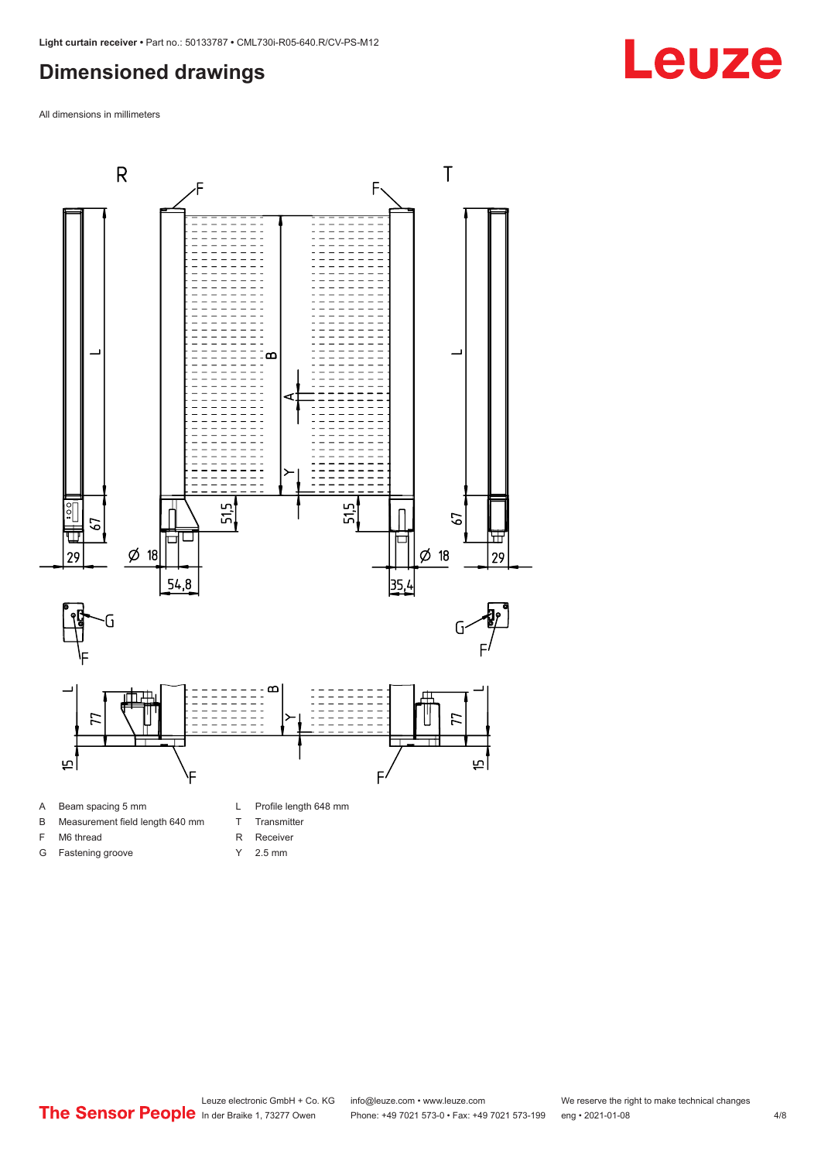### <span id="page-3-0"></span>**Dimensioned drawings**

All dimensions in millimeters



B Measurement field length 640 mm

F M6 thread G Fastening groove

- T Transmitter
- R Receiver
- Y 2.5 mm
-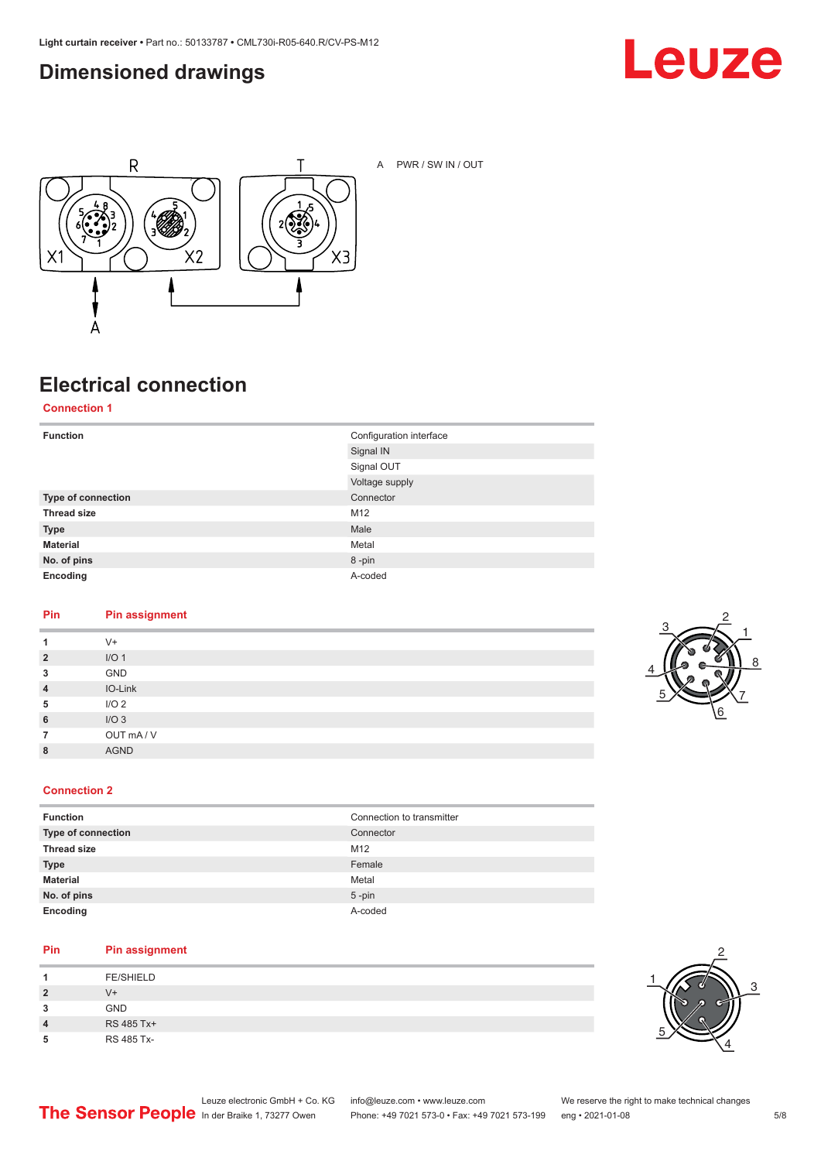### <span id="page-4-0"></span>**Dimensioned drawings**





A PWR / SW IN / OUT

### **Electrical connection**

**Connection 1**

| <b>Function</b>    | Configuration interface |
|--------------------|-------------------------|
|                    | Signal IN               |
|                    | Signal OUT              |
|                    | Voltage supply          |
| Type of connection | Connector               |
| <b>Thread size</b> | M12                     |
| <b>Type</b>        | Male                    |
| <b>Material</b>    | Metal                   |
| No. of pins        | 8-pin                   |
| Encoding           | A-coded                 |

#### **Pin Pin assignment**

|                | $V +$            |
|----------------|------------------|
| $\overline{2}$ | I/O <sub>1</sub> |
| 3              | GND              |
| $\overline{4}$ | IO-Link          |
| 5              | I/O <sub>2</sub> |
| 6              | I/O3             |
|                | OUT mA/V         |
| 8              | <b>AGND</b>      |
|                |                  |



#### **Connection 2**

| Connection to transmitter |
|---------------------------|
| Connector                 |
| M12                       |
| Female                    |
| Metal                     |
| $5$ -pin                  |
| A-coded                   |
|                           |

#### **Pin Pin assignment**

|   | <b>FE/SHIELD</b> |
|---|------------------|
| 2 | $V +$            |
| 3 | <b>GND</b>       |
| 4 | RS 485 Tx+       |
| 5 | RS 485 Tx-       |

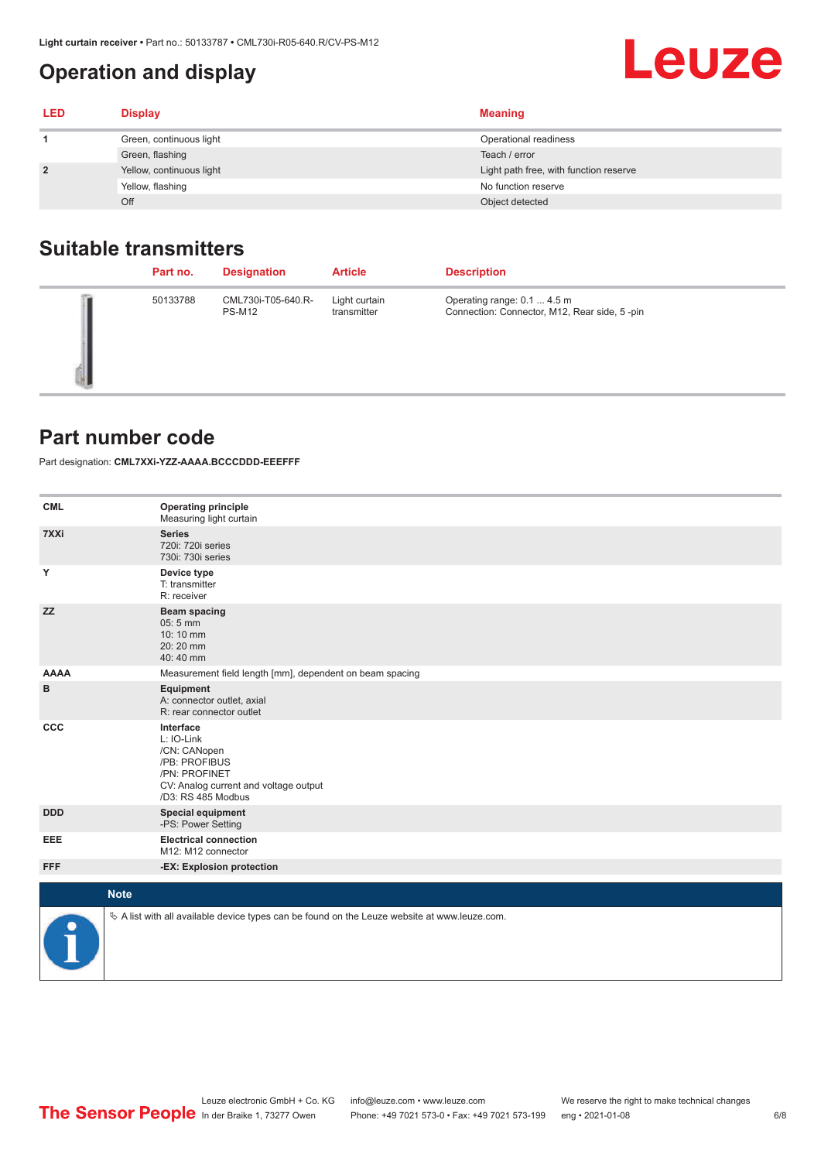### <span id="page-5-0"></span>**Operation and display**

| <b>LED</b>     | <b>Display</b>           | <b>Meaning</b>                         |
|----------------|--------------------------|----------------------------------------|
|                | Green, continuous light  | Operational readiness                  |
|                | Green, flashing          | Teach / error                          |
| $\overline{2}$ | Yellow, continuous light | Light path free, with function reserve |
|                | Yellow, flashing         | No function reserve                    |
|                | Off                      | Object detected                        |

### **Suitable transmitters**

| Part no. | <b>Designation</b>                  | <b>Article</b>               | <b>Description</b>                                                          |
|----------|-------------------------------------|------------------------------|-----------------------------------------------------------------------------|
| 50133788 | CML730i-T05-640.R-<br><b>PS-M12</b> | Light curtain<br>transmitter | Operating range: 0.1  4.5 m<br>Connection: Connector, M12, Rear side, 5-pin |

#### **Part number code**

Part designation: **CML7XXi-YZZ-AAAA.BCCCDDD-EEEFFF**

| <b>CML</b>  | <b>Operating principle</b><br>Measuring light curtain                                                                                    |
|-------------|------------------------------------------------------------------------------------------------------------------------------------------|
| 7XXi        | <b>Series</b><br>720i: 720i series<br>730i: 730i series                                                                                  |
| Y           | Device type<br>T: transmitter<br>R: receiver                                                                                             |
| <b>ZZ</b>   | <b>Beam spacing</b><br>$05:5$ mm<br>10:10 mm<br>20:20 mm<br>40:40 mm                                                                     |
| <b>AAAA</b> | Measurement field length [mm], dependent on beam spacing                                                                                 |
| в           | Equipment<br>A: connector outlet, axial<br>R: rear connector outlet                                                                      |
| CCC         | Interface<br>L: IO-Link<br>/CN: CANopen<br>/PB: PROFIBUS<br>/PN: PROFINET<br>CV: Analog current and voltage output<br>/D3: RS 485 Modbus |
| <b>DDD</b>  | <b>Special equipment</b><br>-PS: Power Setting                                                                                           |
| EEE         | <b>Electrical connection</b><br>M12: M12 connector                                                                                       |
| <b>FFF</b>  | -EX: Explosion protection                                                                                                                |
| <b>Note</b> |                                                                                                                                          |
| P           | $\&$ A list with all available device types can be found on the Leuze website at www.leuze.com.                                          |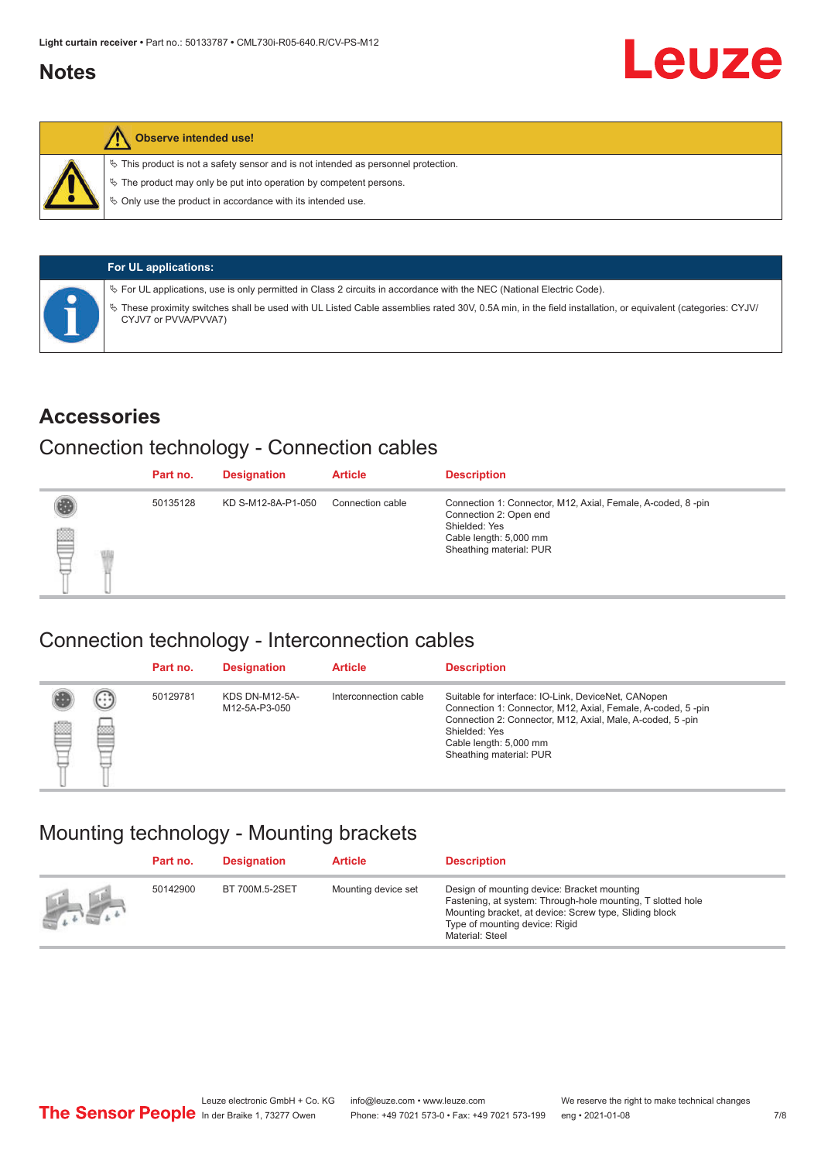#### <span id="page-6-0"></span>**Notes**



#### **Observe intended use!**

 $\%$  This product is not a safety sensor and is not intended as personnel protection.

 $\%$  The product may only be put into operation by competent persons.

 $\%$  Only use the product in accordance with its intended use.

| <b>For UL applications:</b>                                                                                                                                                       |
|-----------------------------------------------------------------------------------------------------------------------------------------------------------------------------------|
| $\%$ For UL applications, use is only permitted in Class 2 circuits in accordance with the NEC (National Electric Code).                                                          |
| V These proximity switches shall be used with UL Listed Cable assemblies rated 30V, 0.5A min, in the field installation, or equivalent (categories: CYJV/<br>CYJV7 or PVVA/PVVA7) |

#### **Accessories**

#### Connection technology - Connection cables

|   | Part no. | <b>Designation</b> | <b>Article</b>   | <b>Description</b>                                                                                                                                          |
|---|----------|--------------------|------------------|-------------------------------------------------------------------------------------------------------------------------------------------------------------|
| ▇ | 50135128 | KD S-M12-8A-P1-050 | Connection cable | Connection 1: Connector, M12, Axial, Female, A-coded, 8-pin<br>Connection 2: Open end<br>Shielded: Yes<br>Cable length: 5,000 mm<br>Sheathing material: PUR |

#### Connection technology - Interconnection cables

|   |               | Part no. | <b>Designation</b>                     | <b>Article</b>        | <b>Description</b>                                                                                                                                                                                                                                    |
|---|---------------|----------|----------------------------------------|-----------------------|-------------------------------------------------------------------------------------------------------------------------------------------------------------------------------------------------------------------------------------------------------|
| ▤ | $\cdots$<br>Þ | 50129781 | <b>KDS DN-M12-5A-</b><br>M12-5A-P3-050 | Interconnection cable | Suitable for interface: IO-Link, DeviceNet, CANopen<br>Connection 1: Connector, M12, Axial, Female, A-coded, 5-pin<br>Connection 2: Connector, M12, Axial, Male, A-coded, 5-pin<br>Shielded: Yes<br>Cable length: 5,000 mm<br>Sheathing material: PUR |

#### Mounting technology - Mounting brackets

|                                               | Part no. | <b>Designation</b> | <b>Article</b>      | <b>Description</b>                                                                                                                                                                                                        |
|-----------------------------------------------|----------|--------------------|---------------------|---------------------------------------------------------------------------------------------------------------------------------------------------------------------------------------------------------------------------|
| $\frac{1}{2}$ , $\frac{1}{2}$ , $\frac{1}{2}$ | 50142900 | BT 700M.5-2SET     | Mounting device set | Design of mounting device: Bracket mounting<br>Fastening, at system: Through-hole mounting, T slotted hole<br>Mounting bracket, at device: Screw type, Sliding block<br>Type of mounting device: Rigid<br>Material: Steel |